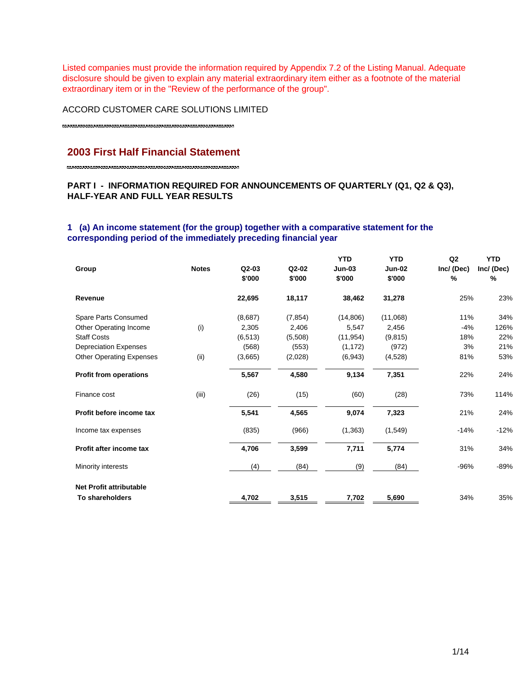Listed companies must provide the information required by Appendix 7.2 of the Listing Manual. Adequate disclosure should be given to explain any material extraordinary item either as a footnote of the material extraordinary item or in the "Review of the performance of the group".

ACCORD CUSTOMER CARE SOLUTIONS LIMITED

# **2003 First Half Financial Statement**

# **PART I - INFORMATION REQUIRED FOR ANNOUNCEMENTS OF QUARTERLY (Q1, Q2 & Q3), HALF-YEAR AND FULL YEAR RESULTS**

# **1 (a) An income statement (for the group) together with a comparative statement for the corresponding period of the immediately preceding financial year**

| 18,117<br>25%<br>22,695<br>38,462<br>31,278<br>Revenue<br>Spare Parts Consumed<br>(8,687)<br>(7, 854)<br>(14, 806)<br>(11,068)<br>11%<br>(i)<br>2,305<br>2,406<br>2,456<br>$-4%$<br>Other Operating Income<br>5,547<br><b>Staff Costs</b><br>(11, 954)<br>(6, 513)<br>(5,508)<br>(9,815)<br>18%<br>(972)<br>(568)<br>(553)<br>(1, 172)<br>3%<br><b>Depreciation Expenses</b><br>(i)<br><b>Other Operating Expenses</b><br>(6,943)<br>81%<br>(3,665)<br>(2,028)<br>(4,528)<br>5,567<br>4,580<br>9,134<br>7,351<br>22%<br><b>Profit from operations</b><br>(iii)<br>(28)<br>73%<br>(26)<br>(15)<br>(60)<br>Finance cost<br>9,074<br>Profit before income tax<br>5,541<br>4,565<br>7,323<br>21%<br>(835)<br>(966)<br>(1, 363)<br>(1,549)<br>$-14%$<br>Income tax expenses<br>4,706<br>3,599<br>7,711<br>31%<br>Profit after income tax<br>5,774<br>(84)<br>(84)<br>$-96%$<br>Minority interests<br>(4)<br>(9)<br><b>Net Profit attributable</b><br>To shareholders<br>4,702<br>3,515<br>7,702<br>5,690<br>34% | Group | <b>Notes</b> | $Q2-03$<br>\$'000 | Q2-02<br>\$'000 | <b>YTD</b><br>$Jun-03$<br>\$'000 | <b>YTD</b><br><b>Jun-02</b><br>\$'000 | Q <sub>2</sub><br>Inc/ (Dec)<br>$\frac{9}{6}$ | <b>YTD</b><br>Inc/(Dec)<br>% |
|------------------------------------------------------------------------------------------------------------------------------------------------------------------------------------------------------------------------------------------------------------------------------------------------------------------------------------------------------------------------------------------------------------------------------------------------------------------------------------------------------------------------------------------------------------------------------------------------------------------------------------------------------------------------------------------------------------------------------------------------------------------------------------------------------------------------------------------------------------------------------------------------------------------------------------------------------------------------------------------------------------|-------|--------------|-------------------|-----------------|----------------------------------|---------------------------------------|-----------------------------------------------|------------------------------|
|                                                                                                                                                                                                                                                                                                                                                                                                                                                                                                                                                                                                                                                                                                                                                                                                                                                                                                                                                                                                            |       |              |                   |                 |                                  |                                       |                                               | 23%                          |
|                                                                                                                                                                                                                                                                                                                                                                                                                                                                                                                                                                                                                                                                                                                                                                                                                                                                                                                                                                                                            |       |              |                   |                 |                                  |                                       |                                               | 34%                          |
|                                                                                                                                                                                                                                                                                                                                                                                                                                                                                                                                                                                                                                                                                                                                                                                                                                                                                                                                                                                                            |       |              |                   |                 |                                  |                                       |                                               | 126%                         |
|                                                                                                                                                                                                                                                                                                                                                                                                                                                                                                                                                                                                                                                                                                                                                                                                                                                                                                                                                                                                            |       |              |                   |                 |                                  |                                       |                                               | 22%                          |
|                                                                                                                                                                                                                                                                                                                                                                                                                                                                                                                                                                                                                                                                                                                                                                                                                                                                                                                                                                                                            |       |              |                   |                 |                                  |                                       |                                               | 21%                          |
|                                                                                                                                                                                                                                                                                                                                                                                                                                                                                                                                                                                                                                                                                                                                                                                                                                                                                                                                                                                                            |       |              |                   |                 |                                  |                                       |                                               | 53%                          |
|                                                                                                                                                                                                                                                                                                                                                                                                                                                                                                                                                                                                                                                                                                                                                                                                                                                                                                                                                                                                            |       |              |                   |                 |                                  |                                       |                                               | 24%                          |
|                                                                                                                                                                                                                                                                                                                                                                                                                                                                                                                                                                                                                                                                                                                                                                                                                                                                                                                                                                                                            |       |              |                   |                 |                                  |                                       |                                               | 114%                         |
|                                                                                                                                                                                                                                                                                                                                                                                                                                                                                                                                                                                                                                                                                                                                                                                                                                                                                                                                                                                                            |       |              |                   |                 |                                  |                                       |                                               | 24%                          |
|                                                                                                                                                                                                                                                                                                                                                                                                                                                                                                                                                                                                                                                                                                                                                                                                                                                                                                                                                                                                            |       |              |                   |                 |                                  |                                       |                                               | $-12%$                       |
|                                                                                                                                                                                                                                                                                                                                                                                                                                                                                                                                                                                                                                                                                                                                                                                                                                                                                                                                                                                                            |       |              |                   |                 |                                  |                                       |                                               | 34%                          |
|                                                                                                                                                                                                                                                                                                                                                                                                                                                                                                                                                                                                                                                                                                                                                                                                                                                                                                                                                                                                            |       |              |                   |                 |                                  |                                       |                                               | $-89%$                       |
|                                                                                                                                                                                                                                                                                                                                                                                                                                                                                                                                                                                                                                                                                                                                                                                                                                                                                                                                                                                                            |       |              |                   |                 |                                  |                                       |                                               |                              |
|                                                                                                                                                                                                                                                                                                                                                                                                                                                                                                                                                                                                                                                                                                                                                                                                                                                                                                                                                                                                            |       |              |                   |                 |                                  |                                       |                                               | 35%                          |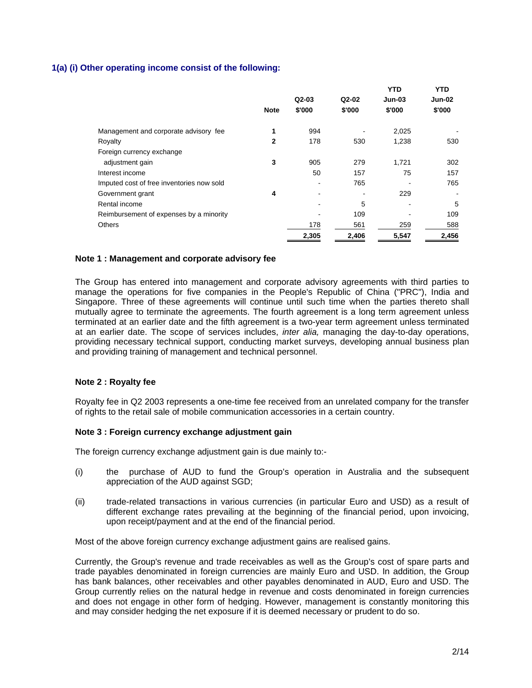## **1(a) (i) Other operating income consist of the following:**

|                                           |              |         |        | <b>YTD</b> | <b>YTD</b>               |
|-------------------------------------------|--------------|---------|--------|------------|--------------------------|
|                                           |              | $Q2-03$ | Q2-02  | Jun-03     | Jun-02                   |
|                                           | <b>Note</b>  | \$'000  | \$'000 | \$'000     | \$'000                   |
| Management and corporate advisory fee     | 1            | 994     |        | 2,025      |                          |
| Royalty                                   | $\mathbf{2}$ | 178     | 530    | 1,238      | 530                      |
| Foreign currency exchange                 |              |         |        |            |                          |
| adjustment gain                           | 3            | 905     | 279    | 1,721      | 302                      |
| Interest income                           |              | 50      | 157    | 75         | 157                      |
| Imputed cost of free inventories now sold |              | $\,$    | 765    |            | 765                      |
| Government grant                          | 4            |         | -      | 229        | $\overline{\phantom{a}}$ |
| Rental income                             |              |         | 5      |            | 5                        |
| Reimbursement of expenses by a minority   |              |         | 109    |            | 109                      |
| <b>Others</b>                             |              | 178     | 561    | 259        | 588                      |
|                                           |              | 2,305   | 2,406  | 5,547      | 2,456                    |

#### **Note 1 : Management and corporate advisory fee**

The Group has entered into management and corporate advisory agreements with third parties to manage the operations for five companies in the People's Republic of China ("PRC"), India and Singapore. Three of these agreements will continue until such time when the parties thereto shall mutually agree to terminate the agreements. The fourth agreement is a long term agreement unless terminated at an earlier date and the fifth agreement is a two-year term agreement unless terminated at an earlier date. The scope of services includes, *inter alia,* managing the day-to-day operations, providing necessary technical support, conducting market surveys, developing annual business plan and providing training of management and technical personnel.

#### **Note 2 : Royalty fee**

Royalty fee in Q2 2003 represents a one-time fee received from an unrelated company for the transfer of rights to the retail sale of mobile communication accessories in a certain country.

#### **Note 3 : Foreign currency exchange adjustment gain**

The foreign currency exchange adjustment gain is due mainly to:-

- (i) the purchase of AUD to fund the Group's operation in Australia and the subsequent appreciation of the AUD against SGD;
- (ii) trade-related transactions in various currencies (in particular Euro and USD) as a result of different exchange rates prevailing at the beginning of the financial period, upon invoicing, upon receipt/payment and at the end of the financial period.

Most of the above foreign currency exchange adjustment gains are realised gains.

Currently, the Group's revenue and trade receivables as well as the Group's cost of spare parts and trade payables denominated in foreign currencies are mainly Euro and USD. In addition, the Group has bank balances, other receivables and other payables denominated in AUD, Euro and USD. The Group currently relies on the natural hedge in revenue and costs denominated in foreign currencies and does not engage in other form of hedging. However, management is constantly monitoring this and may consider hedging the net exposure if it is deemed necessary or prudent to do so.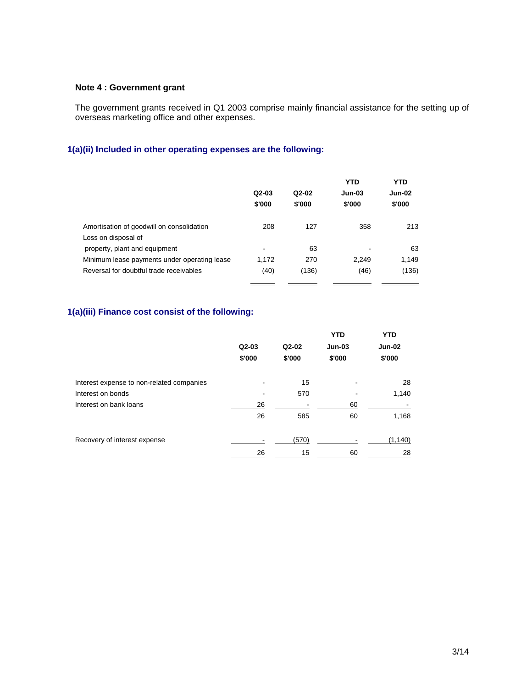## **Note 4 : Government grant**

The government grants received in Q1 2003 comprise mainly financial assistance for the setting up of overseas marketing office and other expenses.

# **1(a)(ii) Included in other operating expenses are the following:**

|                                              | $Q2-03$<br>\$'000 | $Q2-02$<br>\$'000 | YTD<br><b>Jun-03</b><br>\$'000 | <b>YTD</b><br><b>Jun-02</b><br>\$'000 |
|----------------------------------------------|-------------------|-------------------|--------------------------------|---------------------------------------|
| Amortisation of goodwill on consolidation    | 208               | 127               | 358                            | 213                                   |
| Loss on disposal of                          |                   |                   |                                |                                       |
| property, plant and equipment                | -                 | 63                |                                | 63                                    |
| Minimum lease payments under operating lease | 1.172             | 270               | 2.249                          | 1,149                                 |
| Reversal for doubtful trade receivables      | (40)              | (136)             | (46)                           | (136)                                 |
|                                              |                   |                   |                                |                                       |

# **1(a)(iii) Finance cost consist of the following:**

|                                           |         |         | <b>YTD</b> | <b>YTD</b>    |
|-------------------------------------------|---------|---------|------------|---------------|
|                                           | $Q2-03$ | $Q2-02$ | $Jun-03$   | <b>Jun-02</b> |
|                                           | \$'000  | \$'000  | \$'000     | \$'000        |
| Interest expense to non-related companies |         | 15      |            | 28            |
| Interest on bonds                         |         | 570     | ٠          | 1,140         |
| Interest on bank loans                    | 26      |         | 60         |               |
|                                           | 26      | 585     | 60         | 1,168         |
| Recovery of interest expense              |         | (570)   |            | (1, 140)      |
|                                           | 26      | 15      | 60         | 28            |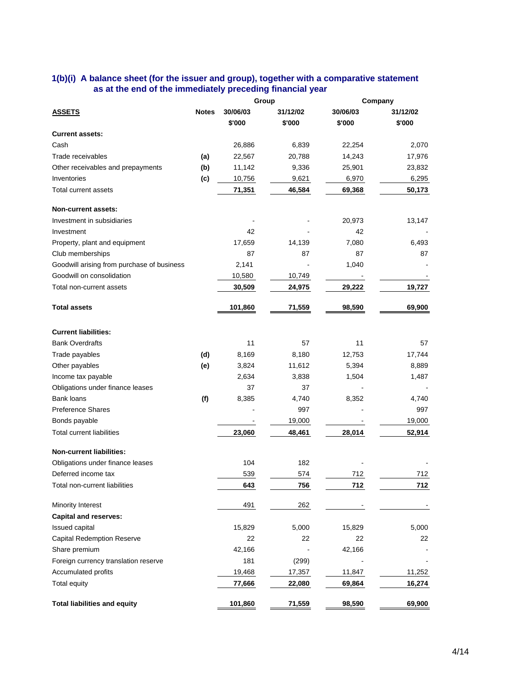## **1(b)(i) A balance sheet (for the issuer and group), together with a comparative statement as at the end of the immediately preceding financial year**

|                                            |              |          | Group    |          | Company  |
|--------------------------------------------|--------------|----------|----------|----------|----------|
| <b>ASSETS</b>                              | <b>Notes</b> | 30/06/03 | 31/12/02 | 30/06/03 | 31/12/02 |
|                                            |              | \$'000   | \$'000   | \$'000   | \$'000   |
| <b>Current assets:</b>                     |              |          |          |          |          |
| Cash                                       |              | 26,886   | 6,839    | 22,254   | 2,070    |
| Trade receivables                          | (a)          | 22,567   | 20,788   | 14,243   | 17,976   |
| Other receivables and prepayments          | (b)          | 11,142   | 9,336    | 25,901   | 23,832   |
| Inventories                                | (c)          | 10,756   | 9,621    | 6,970    | 6,295    |
| <b>Total current assets</b>                |              | 71,351   | 46,584   | 69,368   | 50,173   |
| Non-current assets:                        |              |          |          |          |          |
| Investment in subsidiaries                 |              |          |          | 20,973   | 13,147   |
| Investment                                 |              | 42       |          | 42       |          |
| Property, plant and equipment              |              | 17,659   | 14,139   | 7,080    | 6,493    |
| Club memberships                           |              | 87       | 87       | 87       | 87       |
| Goodwill arising from purchase of business |              | 2,141    |          | 1,040    |          |
| Goodwill on consolidation                  |              | 10,580   | 10,749   |          |          |
| Total non-current assets                   |              | 30,509   | 24,975   | 29,222   | 19,727   |
| <b>Total assets</b>                        |              | 101,860  | 71,559   | 98,590   | 69,900   |
| <b>Current liabilities:</b>                |              |          |          |          |          |
| <b>Bank Overdrafts</b>                     |              | 11       | 57       | 11       | 57       |
| Trade payables                             | (d)          | 8,169    | 8,180    | 12,753   | 17,744   |
| Other payables                             | (e)          | 3,824    | 11,612   | 5,394    | 8,889    |
| Income tax payable                         |              | 2,634    | 3,838    | 1,504    | 1,487    |
| Obligations under finance leases           |              | 37       | 37       |          |          |
| Bank loans                                 | (f)          | 8,385    | 4,740    | 8,352    | 4,740    |
| <b>Preference Shares</b>                   |              |          | 997      |          | 997      |
| Bonds payable                              |              |          | 19,000   |          | 19,000   |
| <b>Total current liabilities</b>           |              | 23,060   | 48,461   | 28,014   | 52,914   |
| <b>Non-current liabilities:</b>            |              |          |          |          |          |
| Obligations under finance leases           |              | 104      | 182      |          |          |
| Deferred income tax                        |              | 539      | 574      | 712      | 712      |
| Total non-current liabilities              |              | 643      | 756      | 712      | 712      |
| Minority Interest                          |              | 491      | 262      |          |          |
| <b>Capital and reserves:</b>               |              |          |          |          |          |
| Issued capital                             |              | 15,829   | 5,000    | 15,829   | 5,000    |
| <b>Capital Redemption Reserve</b>          |              | 22       | 22       | 22       | 22       |
| Share premium                              |              | 42,166   |          | 42,166   |          |
| Foreign currency translation reserve       |              | 181      | (299)    |          |          |
| Accumulated profits                        |              | 19,468   | 17,357   | 11,847   | 11,252   |
| Total equity                               |              | 77,666   | 22,080   | 69,864   | 16,274   |
| <b>Total liabilities and equity</b>        |              | 101,860  | 71,559   | 98,590   | 69,900   |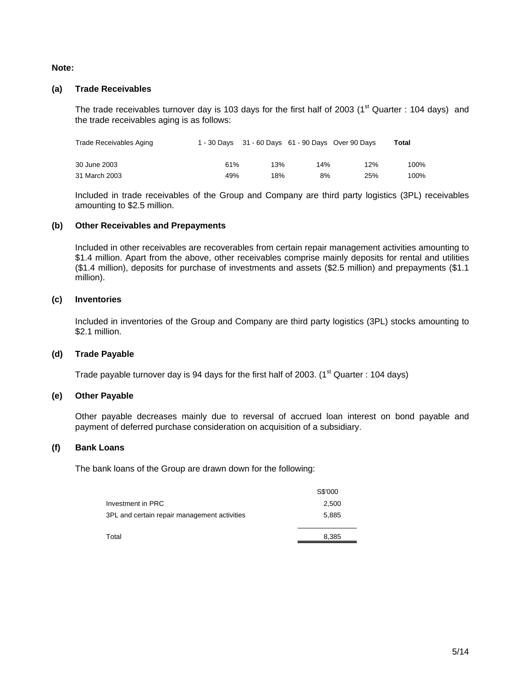## **Note:**

## **(a) Trade Receivables**

The trade receivables turnover day is 103 days for the first half of 2003 ( $1<sup>st</sup>$  Quarter : 104 days) and the trade receivables aging is as follows:

| Trade Receivables Aging |     |     |     | 1 - 30 Days 31 - 60 Days 61 - 90 Days Over 90 Days | Total |
|-------------------------|-----|-----|-----|----------------------------------------------------|-------|
| 30 June 2003            | 61% | 13% | 14% | 12%                                                | 100%  |
| 31 March 2003           | 49% | 18% | 8%  | 25%                                                | 100%  |

Included in trade receivables of the Group and Company are third party logistics (3PL) receivables amounting to \$2.5 million.

## **(b) Other Receivables and Prepayments**

Included in other receivables are recoverables from certain repair management activities amounting to \$1.4 million. Apart from the above, other receivables comprise mainly deposits for rental and utilities (\$1.4 million), deposits for purchase of investments and assets (\$2.5 million) and prepayments (\$1.1 million).

## **(c) Inventories**

Included in inventories of the Group and Company are third party logistics (3PL) stocks amounting to \$2.1 million.

### **(d) Trade Payable**

Trade payable turnover day is 94 days for the first half of 2003. ( $1<sup>st</sup>$  Quarter : 104 days)

#### **(e) Other Payable**

Other payable decreases mainly due to reversal of accrued loan interest on bond payable and payment of deferred purchase consideration on acquisition of a subsidiary.

#### **(f) Bank Loans**

The bank loans of the Group are drawn down for the following:

|                                              | S\$'000 |
|----------------------------------------------|---------|
| Investment in PRC                            | 2,500   |
| 3PL and certain repair management activities | 5.885   |
|                                              |         |
| Total                                        | 8,385   |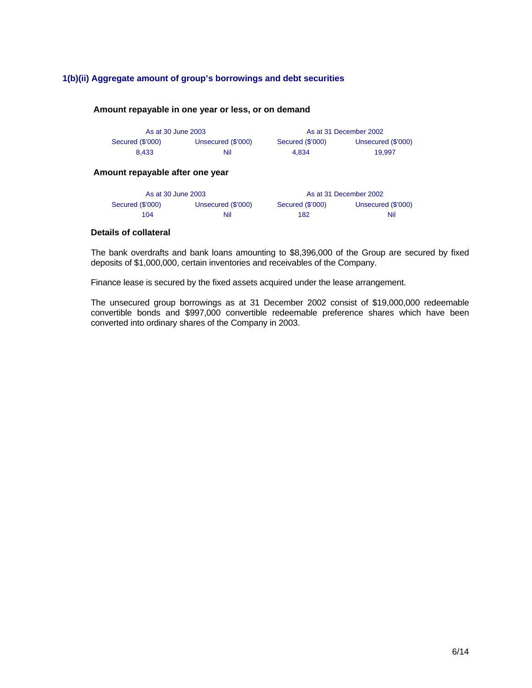# **1(b)(ii) Aggregate amount of group's borrowings and debt securities**

#### **Amount repayable in one year or less, or on demand**

| As at 30 June 2003 |                    | As at 31 December 2002 |                    |  |  |
|--------------------|--------------------|------------------------|--------------------|--|--|
| Secured (\$'000)   | Unsecured (\$'000) | Secured (\$'000)       | Unsecured (\$'000) |  |  |
| 8.433              | Nil                | 4.834                  | 19.997             |  |  |

# **Amount repayable after one year**

| As at 30 June 2003 |                    |                  | As at 31 December 2002 |
|--------------------|--------------------|------------------|------------------------|
| Secured (\$'000)   | Unsecured (\$'000) | Secured (\$'000) | Unsecured (\$'000)     |
| 104                | Nil                | 182              | Nil                    |

### **Details of collateral**

The bank overdrafts and bank loans amounting to \$8,396,000 of the Group are secured by fixed deposits of \$1,000,000, certain inventories and receivables of the Company.

Finance lease is secured by the fixed assets acquired under the lease arrangement.

The unsecured group borrowings as at 31 December 2002 consist of \$19,000,000 redeemable convertible bonds and \$997,000 convertible redeemable preference shares which have been converted into ordinary shares of the Company in 2003.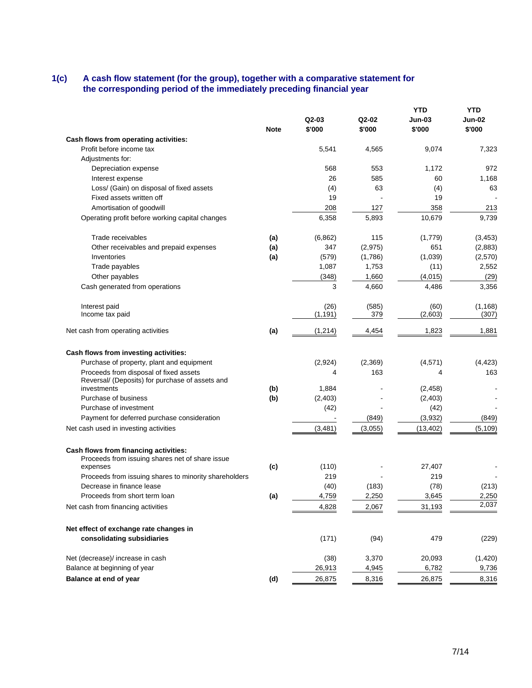### **1(c) A cash flow statement (for the group), together with a comparative statement for the corresponding period of the immediately preceding financial year**

|                                                                                           | <b>Note</b> | Q2-03<br>\$'000 | Q2-02<br>\$'000 | <b>YTD</b><br>Jun-03<br>\$'000 | YTD<br>Jun-02<br>\$'000 |
|-------------------------------------------------------------------------------------------|-------------|-----------------|-----------------|--------------------------------|-------------------------|
| Cash flows from operating activities:                                                     |             |                 |                 |                                |                         |
| Profit before income tax                                                                  |             | 5,541           | 4,565           | 9,074                          | 7,323                   |
| Adjustments for:                                                                          |             |                 |                 |                                |                         |
| Depreciation expense                                                                      |             | 568             | 553             | 1,172                          | 972                     |
| Interest expense                                                                          |             | 26              | 585             | 60                             | 1,168                   |
| Loss/ (Gain) on disposal of fixed assets                                                  |             | (4)             | 63              | (4)                            | 63                      |
| Fixed assets written off                                                                  |             | 19              |                 | 19                             |                         |
| Amortisation of goodwill                                                                  |             | 208             | 127             | 358                            | 213                     |
| Operating profit before working capital changes                                           |             | 6,358           | 5,893           | 10,679                         | 9,739                   |
| Trade receivables                                                                         | (a)         | (6, 862)        | 115             | (1,779)                        | (3, 453)                |
| Other receivables and prepaid expenses                                                    | (a)         | 347             | (2, 975)        | 651                            | (2,883)                 |
| Inventories                                                                               | (a)         | (579)           | (1,786)         | (1,039)                        | (2,570)                 |
| Trade payables                                                                            |             | 1,087           | 1,753           | (11)                           | 2,552                   |
| Other payables                                                                            |             | (348)           | 1,660           | (4,015)                        | (29)                    |
| Cash generated from operations                                                            |             | 3               | 4,660           | 4,486                          | 3,356                   |
| Interest paid                                                                             |             | (26)            | (585)           | (60)                           | (1, 168)                |
| Income tax paid                                                                           |             | (1, 191)        | 379             | (2,603)                        | (307)                   |
| Net cash from operating activities                                                        | (a)         | (1,214)         | 4,454           | 1,823                          | 1,881                   |
| Cash flows from investing activities:                                                     |             |                 |                 |                                |                         |
| Purchase of property, plant and equipment                                                 |             | (2,924)         | (2, 369)        | (4, 571)                       | (4, 423)                |
| Proceeds from disposal of fixed assets<br>Reversal/ (Deposits) for purchase of assets and |             | 4               | 163             | 4                              | 163                     |
| investments                                                                               | (b)         | 1,884           |                 | (2, 458)                       |                         |
| Purchase of business<br>Purchase of investment                                            | (b)         | (2, 403)        |                 | (2, 403)                       |                         |
| Payment for deferred purchase consideration                                               |             | (42)            | (849)           | (42)<br>(3,932)                | (849)                   |
| Net cash used in investing activities                                                     |             | (3, 481)        | (3,055)         | (13, 402)                      | (5, 109)                |
|                                                                                           |             |                 |                 |                                |                         |
| Cash flows from financing activities:<br>Proceeds from issuing shares net of share issue  |             |                 |                 |                                |                         |
| expenses                                                                                  | (c)         | (110)           |                 | 27,407                         |                         |
| Proceeds from issuing shares to minority shareholders                                     |             | 219             |                 | 219                            |                         |
| Decrease in finance lease                                                                 |             | (40)            | (183)           | (78)                           | (213)                   |
| Proceeds from short term loan                                                             | (a)         | 4,759           | 2,250           | 3,645                          | 2,250                   |
| Net cash from financing activities                                                        |             | 4,828           | 2,067           | 31,193                         | 2,037                   |
| Net effect of exchange rate changes in                                                    |             |                 |                 |                                |                         |
| consolidating subsidiaries                                                                |             | (171)           | (94)            | 479                            | (229)                   |
| Net (decrease)/ increase in cash                                                          |             | (38)            | 3,370           | 20,093                         | (1,420)                 |
| Balance at beginning of year                                                              |             | 26,913          | 4,945           | 6,782                          | 9,736                   |
| Balance at end of year                                                                    | (d)         | 26,875          | 8,316           | 26,875                         | 8,316                   |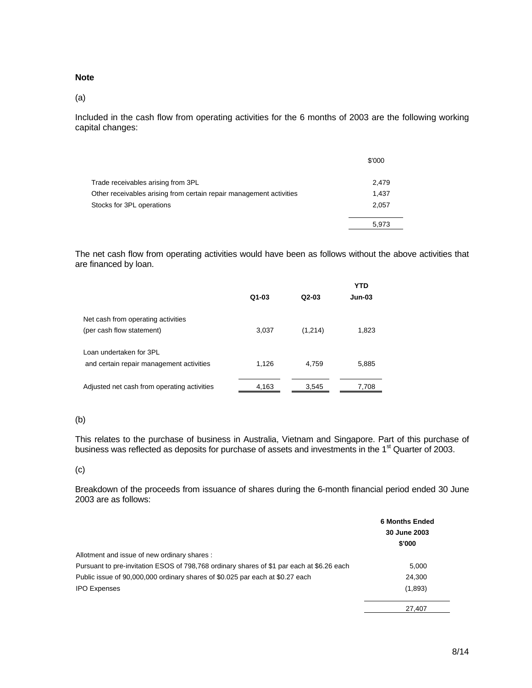#### **Note**

(a)

Included in the cash flow from operating activities for the 6 months of 2003 are the following working capital changes:

|                                                                     | \$'000 |
|---------------------------------------------------------------------|--------|
| Trade receivables arising from 3PL                                  | 2.479  |
| Other receivables arising from certain repair management activities | 1.437  |
| Stocks for 3PL operations                                           | 2.057  |
|                                                                     | 5,973  |

The net cash flow from operating activities would have been as follows without the above activities that are financed by loan.

|                                             | $Q1-03$ | $Q2-03$ | <b>YTD</b><br><b>Jun-03</b> |
|---------------------------------------------|---------|---------|-----------------------------|
| Net cash from operating activities          |         |         |                             |
| (per cash flow statement)                   | 3,037   | (1,214) | 1,823                       |
| Loan undertaken for 3PL                     |         |         |                             |
| and certain repair management activities    | 1,126   | 4.759   | 5,885                       |
|                                             |         |         |                             |
| Adjusted net cash from operating activities | 4,163   | 3,545   | 7,708                       |

# (b)

This relates to the purchase of business in Australia, Vietnam and Singapore. Part of this purchase of business was reflected as deposits for purchase of assets and investments in the 1<sup>st</sup> Quarter of 2003.

#### (c)

Breakdown of the proceeds from issuance of shares during the 6-month financial period ended 30 June 2003 are as follows:

|                                                                                           | <b>6 Months Ended</b><br>30 June 2003<br>\$'000 |
|-------------------------------------------------------------------------------------------|-------------------------------------------------|
| Allotment and issue of new ordinary shares:                                               |                                                 |
| Pursuant to pre-invitation ESOS of 798,768 ordinary shares of \$1 par each at \$6.26 each | 5,000                                           |
| Public issue of 90,000,000 ordinary shares of \$0.025 par each at \$0.27 each             | 24,300                                          |
| <b>IPO Expenses</b>                                                                       | (1,893)                                         |
|                                                                                           | 27.407                                          |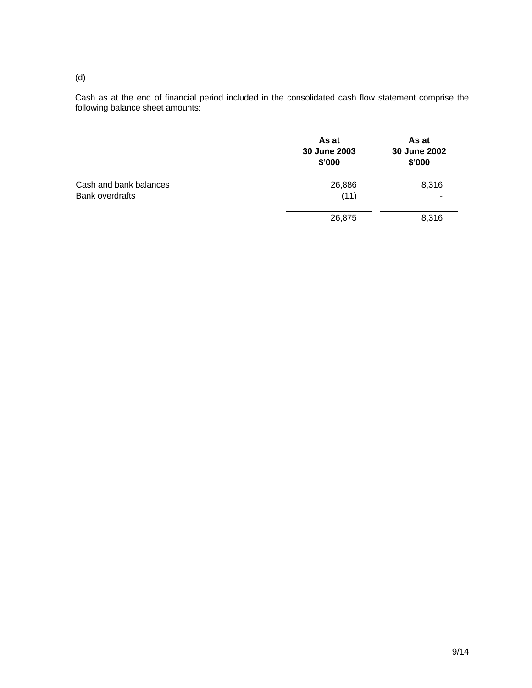(d)

Cash as at the end of financial period included in the consolidated cash flow statement comprise the following balance sheet amounts:

|                        | As at<br>30 June 2003<br>\$'000 | As at<br>30 June 2002<br>\$'000 |
|------------------------|---------------------------------|---------------------------------|
| Cash and bank balances | 26,886                          | 8,316                           |
| Bank overdrafts        | (11)                            |                                 |
|                        | 26,875                          | 8,316                           |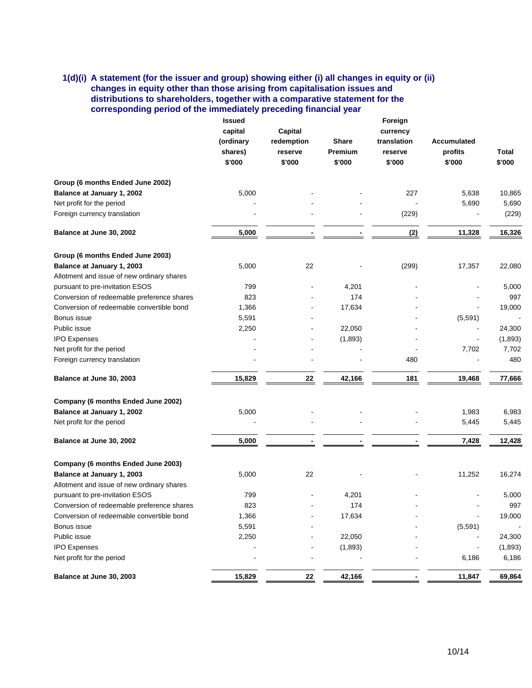# **1(d)(i) A statement (for the issuer and group) showing either (i) all changes in equity or (ii) changes in equity other than those arising from capitalisation issues and distributions to shareholders, together with a comparative statement for the corresponding period of the immediately preceding financial year**

|                                            | <b>Issued</b>             |                |              | Foreign     |             |              |
|--------------------------------------------|---------------------------|----------------|--------------|-------------|-------------|--------------|
|                                            | capital<br><b>Capital</b> |                |              | currency    |             |              |
|                                            | (ordinary                 | redemption     | <b>Share</b> | translation | Accumulated |              |
|                                            | shares)                   | reserve        | Premium      | reserve     | profits     | <b>Total</b> |
|                                            | \$'000                    | \$'000         | \$'000       | \$'000      | \$'000      | \$'000       |
| Group (6 months Ended June 2002)           |                           |                |              |             |             |              |
| Balance at January 1, 2002                 | 5,000                     |                |              | 227         | 5,638       | 10,865       |
| Net profit for the period                  |                           |                |              |             | 5,690       | 5,690        |
| Foreign currency translation               |                           |                |              | (229)       |             | (229)        |
| Balance at June 30, 2002                   | 5,000                     |                |              | (2)         | 11,328      | 16,326       |
| Group (6 months Ended June 2003)           |                           |                |              |             |             |              |
| Balance at January 1, 2003                 | 5,000                     | 22             |              | (299)       | 17,357      | 22,080       |
| Allotment and issue of new ordinary shares |                           |                |              |             |             |              |
| pursuant to pre-invitation ESOS            | 799                       |                | 4,201        |             |             | 5,000        |
| Conversion of redeemable preference shares | 823                       |                | 174          |             |             | 997          |
| Conversion of redeemable convertible bond  | 1,366                     | $\overline{a}$ | 17,634       |             |             | 19,000       |
| Bonus issue                                | 5,591                     |                |              |             | (5,591)     |              |
| Public issue                               | 2,250                     |                | 22,050       |             |             | 24,300       |
| <b>IPO Expenses</b>                        |                           |                | (1,893)      |             |             | (1,893)      |
| Net profit for the period                  |                           |                |              |             | 7,702       | 7,702        |
| Foreign currency translation               |                           |                |              | 480         |             | 480          |
| Balance at June 30, 2003                   | 15,829                    | 22             | 42,166       | 181         | 19,468      | 77,666       |
| Company (6 months Ended June 2002)         |                           |                |              |             |             |              |
| Balance at January 1, 2002                 | 5,000                     |                |              |             | 1,983       | 6,983        |
| Net profit for the period                  |                           |                |              |             | 5,445       | 5,445        |
| Balance at June 30, 2002                   | 5,000                     |                |              |             | 7,428       | 12,428       |
| Company (6 months Ended June 2003)         |                           |                |              |             |             |              |
| Balance at January 1, 2003                 | 5,000                     | 22             |              |             | 11,252      | 16,274       |
| Allotment and issue of new ordinary shares |                           |                |              |             |             |              |
| pursuant to pre-invitation ESOS            | 799                       |                | 4,201        |             |             | 5,000        |
| Conversion of redeemable preference shares | 823                       |                | 174          |             |             | 997          |
| Conversion of redeemable convertible bond  | 1,366                     |                | 17,634       |             |             | 19,000       |
| Bonus issue                                | 5,591                     |                |              |             | (5,591)     |              |
| Public issue                               | 2,250                     |                | 22,050       |             |             | 24,300       |
| <b>IPO Expenses</b>                        |                           |                | (1,893)      |             |             | (1,893)      |
| Net profit for the period                  |                           |                |              |             | 6,186       | 6,186        |
| Balance at June 30, 2003                   | 15,829                    | ${\bf 22}$     | 42,166       |             | 11,847      | 69,864       |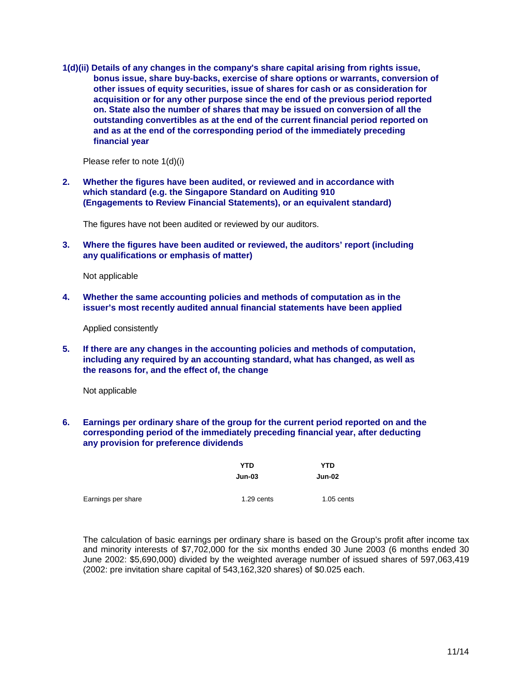**1(d)(ii) Details of any changes in the company's share capital arising from rights issue, bonus issue, share buy-backs, exercise of share options or warrants, conversion of other issues of equity securities, issue of shares for cash or as consideration for acquisition or for any other purpose since the end of the previous period reported on. State also the number of shares that may be issued on conversion of all the outstanding convertibles as at the end of the current financial period reported on and as at the end of the corresponding period of the immediately preceding financial year** 

Please refer to note 1(d)(i)

**2. Whether the figures have been audited, or reviewed and in accordance with which standard (e.g. the Singapore Standard on Auditing 910 (Engagements to Review Financial Statements), or an equivalent standard)** 

The figures have not been audited or reviewed by our auditors.

**3. Where the figures have been audited or reviewed, the auditors' report (including any qualifications or emphasis of matter)** 

Not applicable

**4. Whether the same accounting policies and methods of computation as in the issuer's most recently audited annual financial statements have been applied** 

Applied consistently

**5. If there are any changes in the accounting policies and methods of computation, including any required by an accounting standard, what has changed, as well as the reasons for, and the effect of, the change** 

Not applicable

**6. Earnings per ordinary share of the group for the current period reported on and the corresponding period of the immediately preceding financial year, after deducting any provision for preference dividends** 

|                    | YTD           | YTD          |  |
|--------------------|---------------|--------------|--|
|                    | <b>Jun-03</b> | Jun-02       |  |
| Earnings per share | 1.29 cents    | $1.05$ cents |  |

The calculation of basic earnings per ordinary share is based on the Group's profit after income tax and minority interests of \$7,702,000 for the six months ended 30 June 2003 (6 months ended 30 June 2002: \$5,690,000) divided by the weighted average number of issued shares of 597,063,419 (2002: pre invitation share capital of 543,162,320 shares) of \$0.025 each.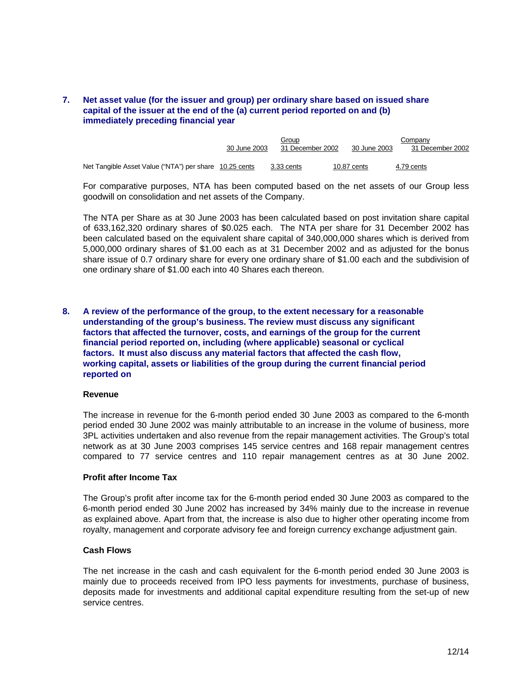# **7. Net asset value (for the issuer and group) per ordinary share based on issued share capital of the issuer at the end of the (a) current period reported on and (b) immediately preceding financial year**

|                                                        |              | Group            |              | Companv          |
|--------------------------------------------------------|--------------|------------------|--------------|------------------|
|                                                        | 30 June 2003 | 31 December 2002 | 30 June 2003 | 31 December 2002 |
|                                                        |              |                  |              |                  |
| Net Tangible Asset Value ("NTA") per share 10.25 cents |              | 3.33 cents       | 10.87 cents  | 4.79 cents       |

For comparative purposes, NTA has been computed based on the net assets of our Group less goodwill on consolidation and net assets of the Company.

The NTA per Share as at 30 June 2003 has been calculated based on post invitation share capital of 633,162,320 ordinary shares of \$0.025 each. The NTA per share for 31 December 2002 has been calculated based on the equivalent share capital of 340,000,000 shares which is derived from 5,000,000 ordinary shares of \$1.00 each as at 31 December 2002 and as adjusted for the bonus share issue of 0.7 ordinary share for every one ordinary share of \$1.00 each and the subdivision of one ordinary share of \$1.00 each into 40 Shares each thereon.

**8. A review of the performance of the group, to the extent necessary for a reasonable understanding of the group's business. The review must discuss any significant factors that affected the turnover, costs, and earnings of the group for the current financial period reported on, including (where applicable) seasonal or cyclical factors. It must also discuss any material factors that affected the cash flow, working capital, assets or liabilities of the group during the current financial period reported on** 

#### **Revenue**

The increase in revenue for the 6-month period ended 30 June 2003 as compared to the 6-month period ended 30 June 2002 was mainly attributable to an increase in the volume of business, more 3PL activities undertaken and also revenue from the repair management activities. The Group's total network as at 30 June 2003 comprises 145 service centres and 168 repair management centres compared to 77 service centres and 110 repair management centres as at 30 June 2002.

#### **Profit after Income Tax**

The Group's profit after income tax for the 6-month period ended 30 June 2003 as compared to the 6-month period ended 30 June 2002 has increased by 34% mainly due to the increase in revenue as explained above. Apart from that, the increase is also due to higher other operating income from royalty, management and corporate advisory fee and foreign currency exchange adjustment gain.

#### **Cash Flows**

The net increase in the cash and cash equivalent for the 6-month period ended 30 June 2003 is mainly due to proceeds received from IPO less payments for investments, purchase of business, deposits made for investments and additional capital expenditure resulting from the set-up of new service centres.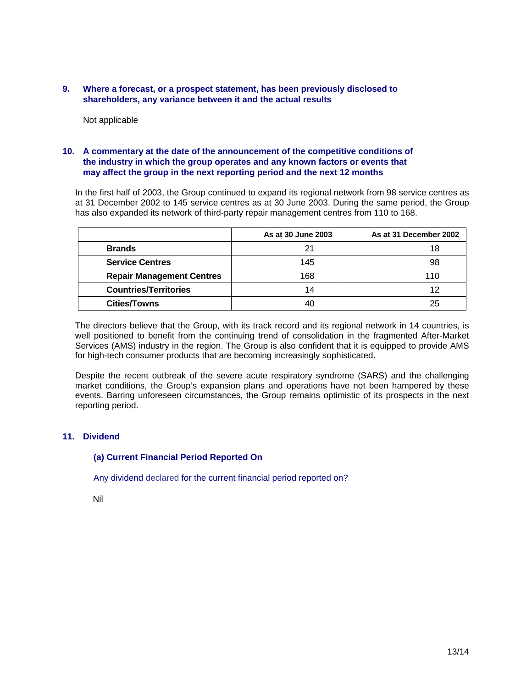### **9. Where a forecast, or a prospect statement, has been previously disclosed to shareholders, any variance between it and the actual results**

Not applicable

### **10. A commentary at the date of the announcement of the competitive conditions of the industry in which the group operates and any known factors or events that may affect the group in the next reporting period and the next 12 months**

In the first half of 2003, the Group continued to expand its regional network from 98 service centres as at 31 December 2002 to 145 service centres as at 30 June 2003. During the same period, the Group has also expanded its network of third-party repair management centres from 110 to 168.

|                                  | As at 30 June 2003 | As at 31 December 2002 |
|----------------------------------|--------------------|------------------------|
| <b>Brands</b>                    | 21                 | 18                     |
| <b>Service Centres</b>           | 145                | 98                     |
| <b>Repair Management Centres</b> | 168                | 110                    |
| <b>Countries/Territories</b>     | 14                 | 12                     |
| <b>Cities/Towns</b>              | 40                 | 25                     |

The directors believe that the Group, with its track record and its regional network in 14 countries, is well positioned to benefit from the continuing trend of consolidation in the fragmented After-Market Services (AMS) industry in the region. The Group is also confident that it is equipped to provide AMS for high-tech consumer products that are becoming increasingly sophisticated.

Despite the recent outbreak of the severe acute respiratory syndrome (SARS) and the challenging market conditions, the Group's expansion plans and operations have not been hampered by these events. Barring unforeseen circumstances, the Group remains optimistic of its prospects in the next reporting period.

# **11. Dividend**

# **(a) Current Financial Period Reported On**

Any dividend declared for the current financial period reported on?

Nil